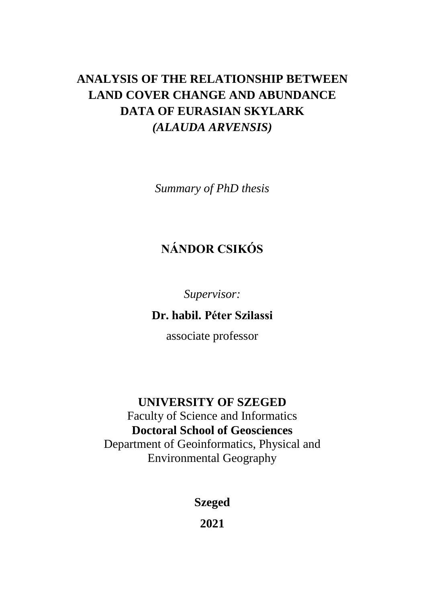# **ANALYSIS OF THE RELATIONSHIP BETWEEN LAND COVER CHANGE AND ABUNDANCE DATA OF EURASIAN SKYLARK**  *(ALAUDA ARVENSIS)*

*Summary of PhD thesis*

# **NÁNDOR CSIKÓS**

*Supervisor:*

**Dr. habil. Péter Szilassi** 

associate professor

### **UNIVERSITY OF SZEGED**

Faculty of Science and Informatics **Doctoral School of Geosciences** Department of Geoinformatics, Physical and Environmental Geography

**Szeged**

**2021**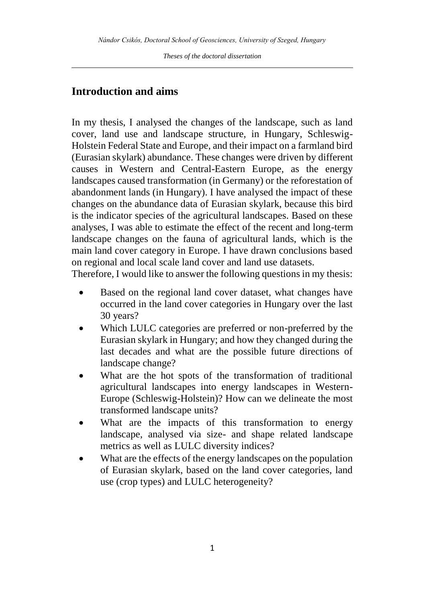#### **Introduction and aims**

In my thesis, I analysed the changes of the landscape, such as land cover, land use and landscape structure, in Hungary, Schleswig-Holstein Federal State and Europe, and their impact on a farmland bird (Eurasian skylark) abundance. These changes were driven by different causes in Western and Central-Eastern Europe, as the energy landscapes caused transformation (in Germany) or the reforestation of abandonment lands (in Hungary). I have analysed the impact of these changes on the abundance data of Eurasian skylark, because this bird is the indicator species of the agricultural landscapes. Based on these analyses, I was able to estimate the effect of the recent and long-term landscape changes on the fauna of agricultural lands, which is the main land cover category in Europe. I have drawn conclusions based on regional and local scale land cover and land use datasets.

Therefore, I would like to answer the following questions in my thesis:

- Based on the regional land cover dataset, what changes have occurred in the land cover categories in Hungary over the last 30 years?
- Which LULC categories are preferred or non-preferred by the Eurasian skylark in Hungary; and how they changed during the last decades and what are the possible future directions of landscape change?
- What are the hot spots of the transformation of traditional agricultural landscapes into energy landscapes in Western-Europe (Schleswig-Holstein)? How can we delineate the most transformed landscape units?
- What are the impacts of this transformation to energy landscape, analysed via size- and shape related landscape metrics as well as LULC diversity indices?
- What are the effects of the energy landscapes on the population of Eurasian skylark, based on the land cover categories, land use (crop types) and LULC heterogeneity?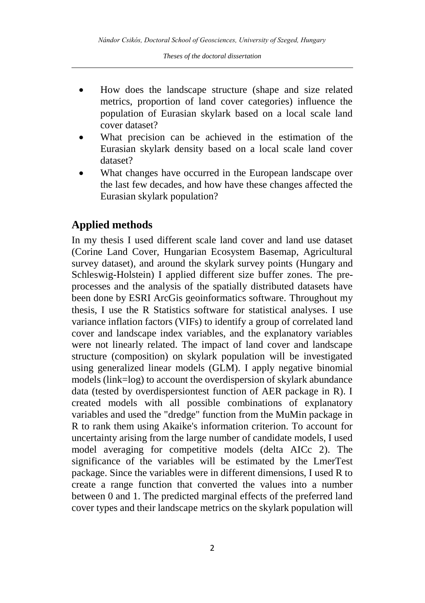- How does the landscape structure (shape and size related metrics, proportion of land cover categories) influence the population of Eurasian skylark based on a local scale land cover dataset?
- What precision can be achieved in the estimation of the Eurasian skylark density based on a local scale land cover dataset?
- What changes have occurred in the European landscape over the last few decades, and how have these changes affected the Eurasian skylark population?

#### **Applied methods**

In my thesis I used different scale land cover and land use dataset (Corine Land Cover, Hungarian Ecosystem Basemap, Agricultural survey dataset), and around the skylark survey points (Hungary and Schleswig-Holstein) I applied different size buffer zones. The preprocesses and the analysis of the spatially distributed datasets have been done by ESRI ArcGis geoinformatics software. Throughout my thesis, I use the R Statistics software for statistical analyses. I use variance inflation factors (VIFs) to identify a group of correlated land cover and landscape index variables, and the explanatory variables were not linearly related. The impact of land cover and landscape structure (composition) on skylark population will be investigated using generalized linear models (GLM). I apply negative binomial models (link=log) to account the overdispersion of skylark abundance data (tested by overdispersiontest function of AER package in R). I created models with all possible combinations of explanatory variables and used the "dredge" function from the MuMin package in R to rank them using Akaike's information criterion. To account for uncertainty arising from the large number of candidate models, I used model averaging for competitive models (delta AICc 2). The significance of the variables will be estimated by the LmerTest package. Since the variables were in different dimensions, I used R to create a range function that converted the values into a number between 0 and 1. The predicted marginal effects of the preferred land cover types and their landscape metrics on the skylark population will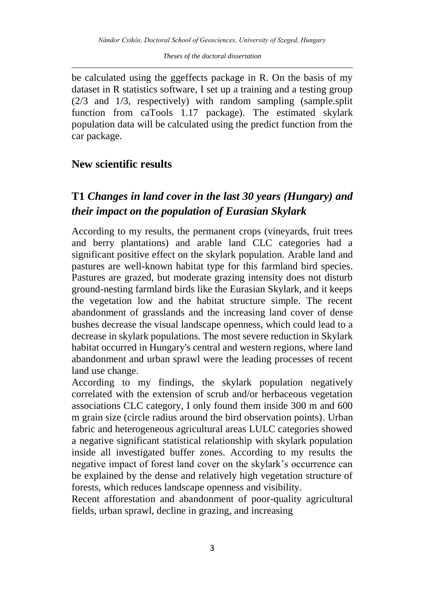be calculated using the ggeffects package in R. On the basis of my dataset in R statistics software, I set up a training and a testing group (2/3 and 1/3, respectively) with random sampling (sample.split function from caTools 1.17 package). The estimated skylark population data will be calculated using the predict function from the car package.

#### **New scientific results**

## **T1** *Changes in land cover in the last 30 years (Hungary) and their impact on the population of Eurasian Skylark*

According to my results, the permanent crops (vineyards, fruit trees and berry plantations) and arable land CLC categories had a significant positive effect on the skylark population. Arable land and pastures are well-known habitat type for this farmland bird species. Pastures are grazed, but moderate grazing intensity does not disturb ground-nesting farmland birds like the Eurasian Skylark, and it keeps the vegetation low and the habitat structure simple. The recent abandonment of grasslands and the increasing land cover of dense bushes decrease the visual landscape openness, which could lead to a decrease in skylark populations. The most severe reduction in Skylark habitat occurred in Hungary's central and western regions, where land abandonment and urban sprawl were the leading processes of recent land use change.

According to my findings, the skylark population negatively correlated with the extension of scrub and/or herbaceous vegetation associations CLC category, I only found them inside 300 m and 600 m grain size (circle radius around the bird observation points). Urban fabric and heterogeneous agricultural areas LULC categories showed a negative significant statistical relationship with skylark population inside all investigated buffer zones. According to my results the negative impact of forest land cover on the skylark's occurrence can be explained by the dense and relatively high vegetation structure of forests, which reduces landscape openness and visibility.

Recent afforestation and abandonment of poor-quality agricultural fields, urban sprawl, decline in grazing, and increasing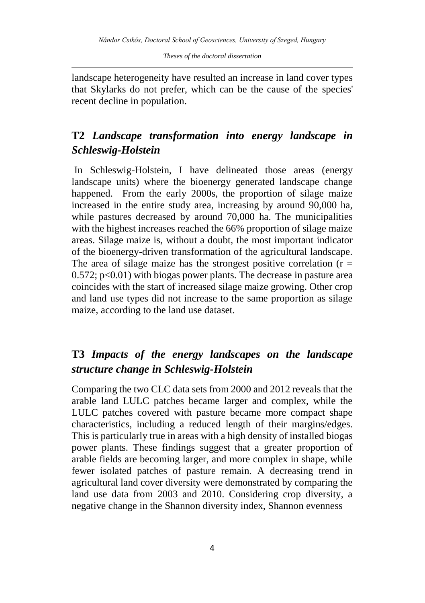landscape heterogeneity have resulted an increase in land cover types that Skylarks do not prefer, which can be the cause of the species' recent decline in population.

## **T2** *Landscape transformation into energy landscape in Schleswig-Holstein*

In Schleswig-Holstein, I have delineated those areas (energy landscape units) where the bioenergy generated landscape change happened. From the early 2000s, the proportion of silage maize increased in the entire study area, increasing by around 90,000 ha, while pastures decreased by around 70,000 ha. The municipalities with the highest increases reached the 66% proportion of silage maize areas. Silage maize is, without a doubt, the most important indicator of the bioenergy-driven transformation of the agricultural landscape. The area of silage maize has the strongest positive correlation ( $r =$  $0.572$ ; p<0.01) with biogas power plants. The decrease in pasture area coincides with the start of increased silage maize growing. Other crop and land use types did not increase to the same proportion as silage maize, according to the land use dataset.

#### **T3** *Impacts of the energy landscapes on the landscape structure change in Schleswig-Holstein*

Comparing the two CLC data sets from 2000 and 2012 reveals that the arable land LULC patches became larger and complex, while the LULC patches covered with pasture became more compact shape characteristics, including a reduced length of their margins/edges. This is particularly true in areas with a high density of installed biogas power plants. These findings suggest that a greater proportion of arable fields are becoming larger, and more complex in shape, while fewer isolated patches of pasture remain. A decreasing trend in agricultural land cover diversity were demonstrated by comparing the land use data from 2003 and 2010. Considering crop diversity, a negative change in the Shannon diversity index, Shannon evenness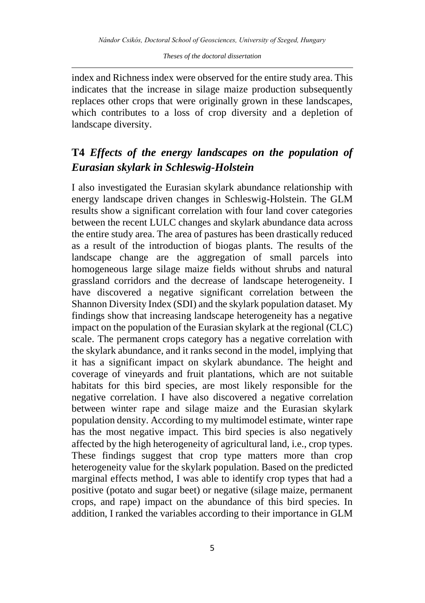index and Richness index were observed for the entire study area. This indicates that the increase in silage maize production subsequently replaces other crops that were originally grown in these landscapes, which contributes to a loss of crop diversity and a depletion of landscape diversity.

### **T4** *Effects of the energy landscapes on the population of Eurasian skylark in Schleswig-Holstein*

I also investigated the Eurasian skylark abundance relationship with energy landscape driven changes in Schleswig-Holstein. The GLM results show a significant correlation with four land cover categories between the recent LULC changes and skylark abundance data across the entire study area. The area of pastures has been drastically reduced as a result of the introduction of biogas plants. The results of the landscape change are the aggregation of small parcels into homogeneous large silage maize fields without shrubs and natural grassland corridors and the decrease of landscape heterogeneity. I have discovered a negative significant correlation between the Shannon Diversity Index (SDI) and the skylark population dataset. My findings show that increasing landscape heterogeneity has a negative impact on the population of the Eurasian skylark at the regional (CLC) scale. The permanent crops category has a negative correlation with the skylark abundance, and it ranks second in the model, implying that it has a significant impact on skylark abundance. The height and coverage of vineyards and fruit plantations, which are not suitable habitats for this bird species, are most likely responsible for the negative correlation. I have also discovered a negative correlation between winter rape and silage maize and the Eurasian skylark population density. According to my multimodel estimate, winter rape has the most negative impact. This bird species is also negatively affected by the high heterogeneity of agricultural land, i.e., crop types. These findings suggest that crop type matters more than crop heterogeneity value for the skylark population. Based on the predicted marginal effects method, I was able to identify crop types that had a positive (potato and sugar beet) or negative (silage maize, permanent crops, and rape) impact on the abundance of this bird species. In addition, I ranked the variables according to their importance in GLM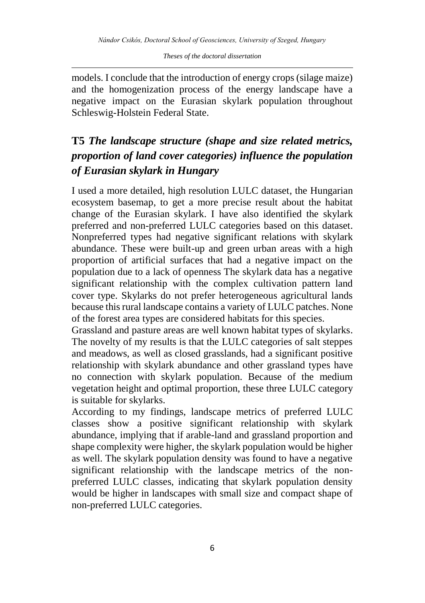models. I conclude that the introduction of energy crops (silage maize) and the homogenization process of the energy landscape have a negative impact on the Eurasian skylark population throughout Schleswig-Holstein Federal State.

# **T5** *The landscape structure (shape and size related metrics, proportion of land cover categories) influence the population of Eurasian skylark in Hungary*

I used a more detailed, high resolution LULC dataset, the Hungarian ecosystem basemap, to get a more precise result about the habitat change of the Eurasian skylark. I have also identified the skylark preferred and non-preferred LULC categories based on this dataset. Nonpreferred types had negative significant relations with skylark abundance. These were built-up and green urban areas with a high proportion of artificial surfaces that had a negative impact on the population due to a lack of openness The skylark data has a negative significant relationship with the complex cultivation pattern land cover type. Skylarks do not prefer heterogeneous agricultural lands because this rural landscape contains a variety of LULC patches. None of the forest area types are considered habitats for this species.

Grassland and pasture areas are well known habitat types of skylarks. The novelty of my results is that the LULC categories of salt steppes and meadows, as well as closed grasslands, had a significant positive relationship with skylark abundance and other grassland types have no connection with skylark population. Because of the medium vegetation height and optimal proportion, these three LULC category is suitable for skylarks.

According to my findings, landscape metrics of preferred LULC classes show a positive significant relationship with skylark abundance, implying that if arable-land and grassland proportion and shape complexity were higher, the skylark population would be higher as well. The skylark population density was found to have a negative significant relationship with the landscape metrics of the nonpreferred LULC classes, indicating that skylark population density would be higher in landscapes with small size and compact shape of non-preferred LULC categories.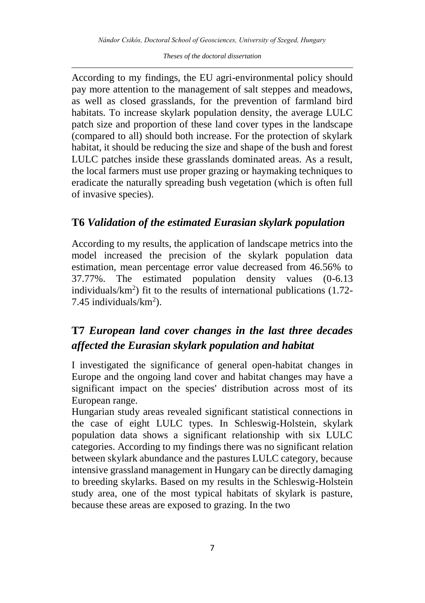According to my findings, the EU agri-environmental policy should pay more attention to the management of salt steppes and meadows, as well as closed grasslands, for the prevention of farmland bird habitats. To increase skylark population density, the average LULC patch size and proportion of these land cover types in the landscape (compared to all) should both increase. For the protection of skylark habitat, it should be reducing the size and shape of the bush and forest LULC patches inside these grasslands dominated areas. As a result, the local farmers must use proper grazing or haymaking techniques to eradicate the naturally spreading bush vegetation (which is often full of invasive species).

#### **T6** *Validation of the estimated Eurasian skylark population*

According to my results, the application of landscape metrics into the model increased the precision of the skylark population data estimation, mean percentage error value decreased from 46.56% to 37.77%. The estimated population density values (0-6.13 individuals/km<sup>2</sup> ) fit to the results of international publications (1.72- 7.45 individuals/ $km<sup>2</sup>$ ).

# **T7** *European land cover changes in the last three decades affected the Eurasian skylark population and habitat*

I investigated the significance of general open-habitat changes in Europe and the ongoing land cover and habitat changes may have a significant impact on the species' distribution across most of its European range.

Hungarian study areas revealed significant statistical connections in the case of eight LULC types. In Schleswig-Holstein, skylark population data shows a significant relationship with six LULC categories. According to my findings there was no significant relation between skylark abundance and the pastures LULC category, because intensive grassland management in Hungary can be directly damaging to breeding skylarks. Based on my results in the Schleswig-Holstein study area, one of the most typical habitats of skylark is pasture, because these areas are exposed to grazing. In the two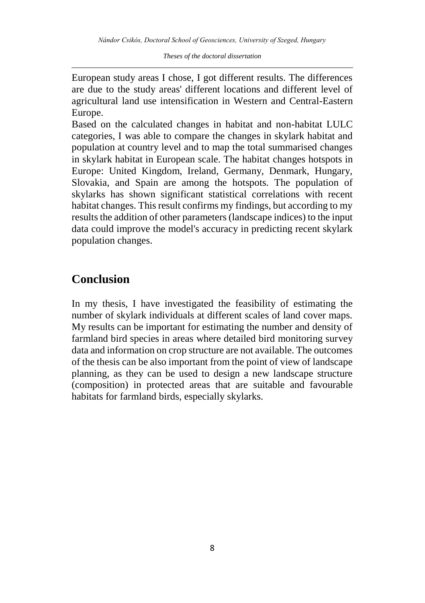European study areas I chose, I got different results. The differences are due to the study areas' different locations and different level of agricultural land use intensification in Western and Central-Eastern Europe.

Based on the calculated changes in habitat and non-habitat LULC categories, I was able to compare the changes in skylark habitat and population at country level and to map the total summarised changes in skylark habitat in European scale. The habitat changes hotspots in Europe: United Kingdom, Ireland, Germany, Denmark, Hungary, Slovakia, and Spain are among the hotspots. The population of skylarks has shown significant statistical correlations with recent habitat changes. This result confirms my findings, but according to my results the addition of other parameters (landscape indices) to the input data could improve the model's accuracy in predicting recent skylark population changes.

## **Conclusion**

In my thesis, I have investigated the feasibility of estimating the number of skylark individuals at different scales of land cover maps. My results can be important for estimating the number and density of farmland bird species in areas where detailed bird monitoring survey data and information on crop structure are not available. The outcomes of the thesis can be also important from the point of view of landscape planning, as they can be used to design a new landscape structure (composition) in protected areas that are suitable and favourable habitats for farmland birds, especially skylarks.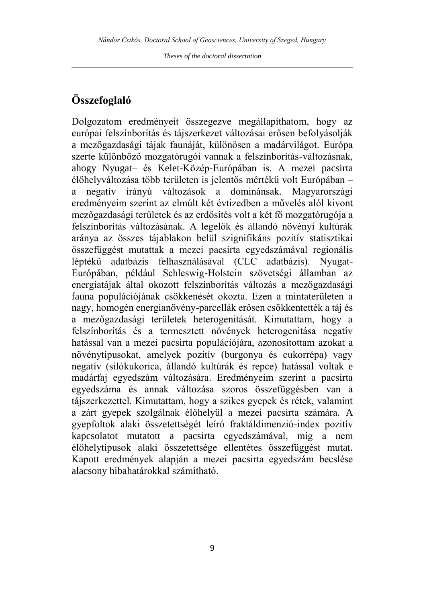#### **Összefoglaló**

Dolgozatom eredményeit összegezve megállapíthatom, hogy az európai felszínborítás és tájszerkezet változásai erősen befolyásolják a mezőgazdasági tájak faunáját, különösen a madárvilágot. Európa szerte különböző mozgatórugói vannak a felszínborítás-változásnak, ahogy Nyugat– és Kelet-Közép-Európában is. A mezei pacsirta élőhelyváltozása több területen is jelentős mértékű volt Európában – a negatív irányú változások a dominánsak. Magyarországi eredményeim szerint az elmúlt két évtizedben a művelés alól kivont mezőgazdasági területek és az erdősítés volt a két fő mozgatórugója a felszínborítás változásának. A legelők és állandó növényi kultúrák aránya az összes tájablakon belül szignifikáns pozitív statisztikai összefüggést mutattak a mezei pacsirta egyedszámával regionális léptékű adatbázis felhasználásával (CLC adatbázis). Nyugat-Európában, például Schleswig-Holstein szövetségi államban az energiatájak által okozott felszínborítás változás a mezőgazdasági fauna populációjának csökkenését okozta. Ezen a mintaterületen a nagy, homogén energianövény-parcellák erősen csökkentették a táj és a mezőgazdasági területek heterogenitását. Kimutattam, hogy a felszínborítás és a termesztett növények heterogenitása negatív hatással van a mezei pacsirta populációjára, azonosítottam azokat a növénytípusokat, amelyek pozitív (burgonya és cukorrépa) vagy negatív (silókukorica, állandó kultúrák és repce) hatással voltak e madárfaj egyedszám változására. Eredményeim szerint a pacsirta egyedszáma és annak változása szoros összefüggésben van a tájszerkezettel. Kimutattam, hogy a szikes gyepek és rétek, valamint a zárt gyepek szolgálnak élőhelyül a mezei pacsirta számára. A gyepfoltok alaki összetettségét leíró fraktáldimenzió-index pozitív kapcsolatot mutatott a pacsirta egyedszámával, míg a nem élőhelytípusok alaki összetettsége ellentétes összefüggést mutat. Kapott eredmények alapján a mezei pacsirta egyedszám becslése alacsony hibahatárokkal számítható.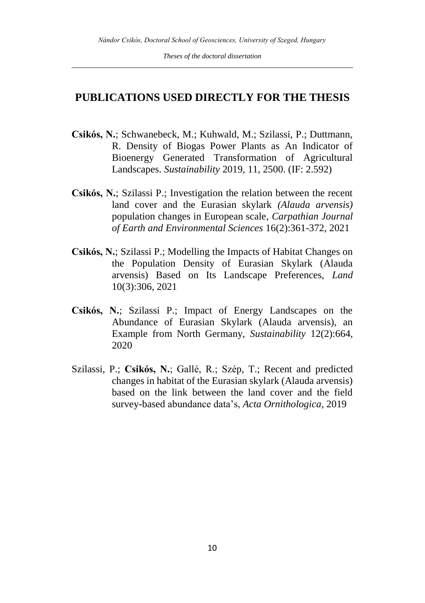#### **PUBLICATIONS USED DIRECTLY FOR THE THESIS**

- **Csikós, N.**; Schwanebeck, M.; Kuhwald, M.; Szilassi, P.; Duttmann, R. Density of Biogas Power Plants as An Indicator of Bioenergy Generated Transformation of Agricultural Landscapes. *Sustainability* 2019, 11, 2500. (IF: 2.592)
- **Csikós, N.**; Szilassi P.; Investigation the relation between the recent land cover and the Eurasian skylark *(Alauda arvensis)* population changes in European scale, *Carpathian Journal of Earth and Environmental Sciences* 16(2):361-372, 2021
- **Csikós, N.**; Szilassi P.; Modelling the Impacts of Habitat Changes on the Population Density of Eurasian Skylark (Alauda arvensis) Based on Its Landscape Preferences, *Land* 10(3):306, 2021
- **Csikós, N.**; Szilassi P.; Impact of Energy Landscapes on the Abundance of Eurasian Skylark (Alauda arvensis), an Example from North Germany, *Sustainability* 12(2):664, 2020
- Szilassi, P.; **Csikós, N.**; Gallé, R.; Szép, T.; Recent and predicted changes in habitat of the Eurasian skylark (Alauda arvensis) based on the link between the land cover and the field survey-based abundance data's, *Acta Ornithologica*, 2019